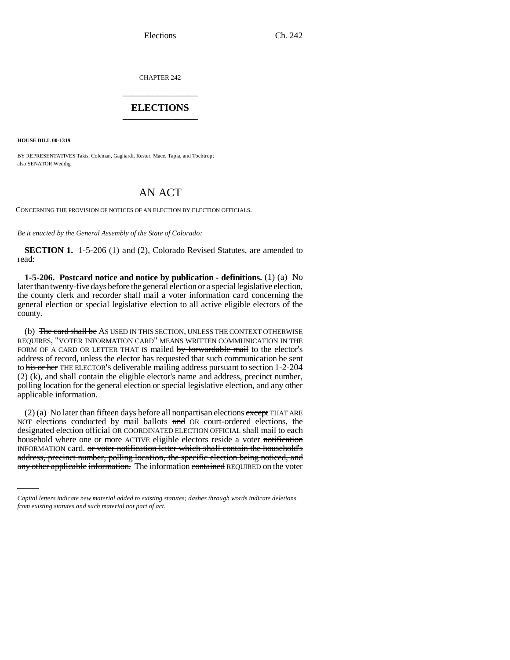Elections Ch. 242

CHAPTER 242 \_\_\_\_\_\_\_\_\_\_\_\_\_\_\_

## **ELECTIONS** \_\_\_\_\_\_\_\_\_\_\_\_\_\_\_

**HOUSE BILL 00-1319** 

BY REPRESENTATIVES Takis, Coleman, Gagliardi, Kester, Mace, Tapia, and Tochtrop; also SENATOR Weddig.

## AN ACT

CONCERNING THE PROVISION OF NOTICES OF AN ELECTION BY ELECTION OFFICIALS.

*Be it enacted by the General Assembly of the State of Colorado:*

**SECTION 1.** 1-5-206 (1) and (2), Colorado Revised Statutes, are amended to read:

**1-5-206. Postcard notice and notice by publication - definitions.** (1) (a) No later than twenty-five days before the general election or a special legislative election, the county clerk and recorder shall mail a voter information card concerning the general election or special legislative election to all active eligible electors of the county.

(b) The card shall be As USED IN THIS SECTION, UNLESS THE CONTEXT OTHERWISE REQUIRES, "VOTER INFORMATION CARD" MEANS WRITTEN COMMUNICATION IN THE FORM OF A CARD OR LETTER THAT IS mailed by forwardable mail to the elector's address of record, unless the elector has requested that such communication be sent to his or her THE ELECTOR'S deliverable mailing address pursuant to section 1-2-204 (2) (k), and shall contain the eligible elector's name and address, precinct number, polling location for the general election or special legislative election, and any other applicable information.

INFORMATION card. or voter notification letter which shall contain the household's (2) (a) No later than fifteen days before all nonpartisan elections except THAT ARE NOT elections conducted by mail ballots  $\theta$  and OR court-ordered elections, the designated election official OR COORDINATED ELECTION OFFICIAL shall mail to each household where one or more ACTIVE eligible electors reside a voter notification address, precinct number, polling location, the specific election being noticed, and any other applicable information. The information contained REQUIRED on the voter

*Capital letters indicate new material added to existing statutes; dashes through words indicate deletions from existing statutes and such material not part of act.*